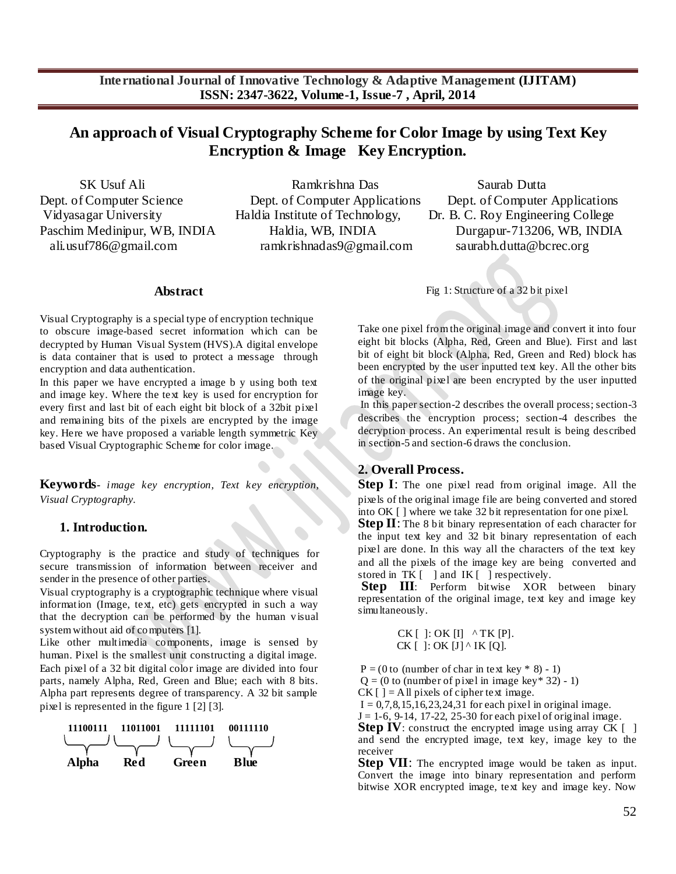**International Journal of Innovative Technology & Adaptive Management (IJITAM) ISSN: 2347-3622, Volume-1, Issue-7 , April, 2014**

# **An approach of Visual Cryptography Scheme for Color Image by using Text Key Encryption & Image Key Encryption.**

SK Usuf Ali **Ramkrishna Das** Saurab Dutta Vidyasagar University Haldia Institute of Technology, Dr. B. C. Roy Engineering College ali.usuf786@gmail.com ramkrishnadas9@gmail.com [saurabh.dutta@bcrec.org](mailto:saurabh.dutta@bcrec.org) 

Dept. of Computer Science Dept. of Computer Applications Dept. of Computer Applications Paschim Medinipur, WB, INDIA Haldia, WB, INDIA Durgapur-713206, WB, INDIA

#### **Abstract**

Visual Cryptography is a special type of encryption technique to obscure image-based secret information which can be decrypted by Human Visual System (HVS).A digital envelope is data container that is used to protect a message through encryption and data authentication.

In this paper we have encrypted a image b y using both text and image key. Where the text key is used for encryption for every first and last bit of each eight bit block of a 32bit pixel and remaining bits of the pixels are encrypted by the image key. Here we have proposed a variable length symmetric Key based Visual Cryptographic Scheme for color image.

**Keywords***- image key encryption, Text key encryption, Visual Cryptography.*

#### **1. Introduction.**

Cryptography is the practice and study of techniques for secure transmission of information between receiver and sender in the presence of other parties.

Visual cryptography is a cryptographic technique where visual information (Image, text, etc) gets encrypted in such a way that the decryption can be performed by the human visual system without aid of computers [1].

Like other multimedia components, image is sensed by human. Pixel is the smallest unit constructing a digital image. Each pixel of a 32 bit digital color image are divided into four parts, namely Alpha, Red, Green and Blue; each with 8 bits. Alpha part represents degree of transparency. A 32 bit sample pixel is represented in the figure 1 [2] [3].



Fig 1: Structure of a 32 bit pixel

Take one pixel from the original image and convert it into four eight bit blocks (Alpha, Red, Green and Blue). First and last bit of eight bit block (Alpha, Red, Green and Red) block has been encrypted by the user inputted text key. All the other bits of the original pixel are been encrypted by the user inputted image key.

In this paper section-2 describes the overall process; section-3 describes the encryption process; section-4 describes the decryption process. An experimental result is being described in section-5 and section-6 draws the conclusion.

#### **2. Overall Process.**

**Step I**: The one pixel read from original image. All the pixels of the original image file are being converted and stored into OK [ ] where we take 32 bit representation for one pixel.

**Step II**: The 8 bit binary representation of each character for the input text key and 32 bit binary representation of each pixel are done. In this way all the characters of the text key and all the pixels of the image key are being converted and stored in TK [ ] and IK [ ] respectively.

**Step III**: Perform bitwise XOR between binary representation of the original image, text key and image key simultaneously.

CK [ ]: OK [I] ^ TK [P]. CK [ ]: OK [J] ^ IK [Q].

 $P = (0 to (number of char in text key * 8) - 1)$  $Q = (0$  to (number of pixel in image key\* 32) - 1)  $CK$  [ ] = All pixels of cipher text image.

 $I = 0,7,8,15,16,23,24,31$  for each pixel in original image.

 $J = 1-6$ , 9-14, 17-22, 25-30 for each pixel of original image. **Step IV**: construct the encrypted image using array CK [ ] and send the encrypted image, text key, image key to the receiver

**Step VII**: The encrypted image would be taken as input. Convert the image into binary representation and perform bitwise XOR encrypted image, text key and image key. Now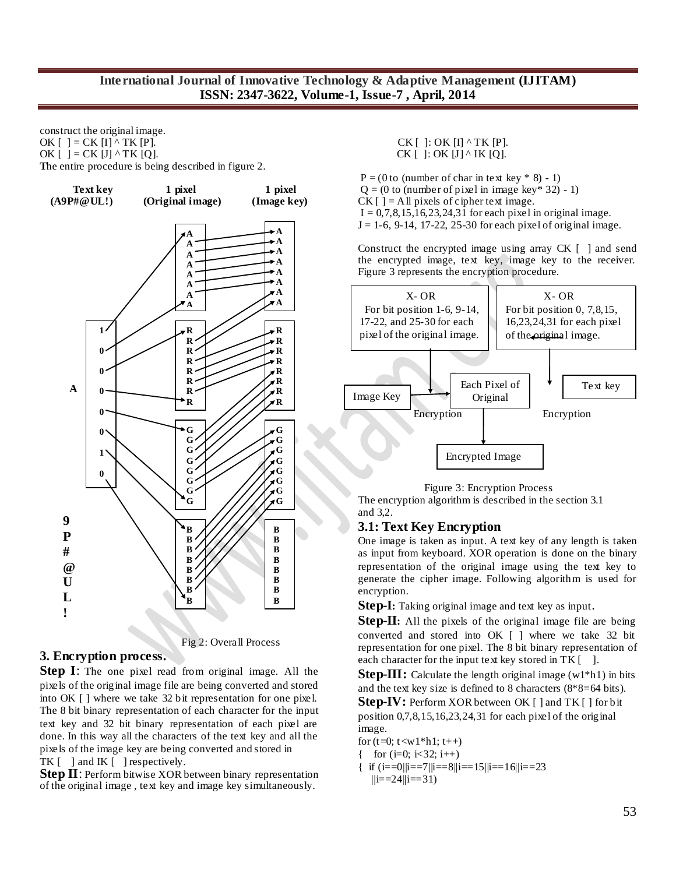### **International Journal of Innovative Technology & Adaptive Management (IJITAM) ISSN: 2347-3622, Volume-1, Issue-7 , April, 2014**

construct the original image. OK  $[$   $] = CK$   $[$  $] \wedge TK$   $[$  $P$  $].$ OK  $[$   $] = CK$   $[$ J $] \wedge TK$   $[$ Q $].$ **T**he entire procedure is being described in figure 2.



Fig 2: Overall Process

### **3. Encryption process.**

**Step I**: The one pixel read from original image. All the pixels of the original image file are being converted and stored into OK [ ] where we take 32 bit representation for one pixel. The 8 bit binary representation of each character for the input text key and 32 bit binary representation of each pixel are done. In this way all the characters of the text key and all the pixels of the image key are being converted and stored in TK [ ] and IK [ ] respectively.

**Step II**: Perform bitwise XOR between binary representation of the original image , text key and image key simultaneously.

 $CK$  [ ]: OK [I]  $^{\wedge}$  TK [P]. CK  $\lceil$  ]: OK  $\lceil J \rceil$   $\wedge$  IK  $\lceil Q \rceil$ .

 $P = (0 to (number of char in text key * 8) - 1)$  $Q = (0$  to (number of pixel in image key\* 32) - 1)  $CK$  [ ] = All pixels of cipher text image.  $I = 0,7,8,15,16,23,24,31$  for each pixel in original image.  $J = 1-6$ , 9-14, 17-22, 25-30 for each pixel of original image.

Construct the encrypted image using array  $CK \lceil \cdot \rceil$  and send the encrypted image, text key, image key to the receiver. Figure 3 represents the encryption procedure.



Figure 3: Encryption Process

The encryption algorithm is described in the section 3.1 and 3,2.

#### **3.1: Text Key Encryption**

One image is taken as input. A text key of any length is taken as input from keyboard. XOR operation is done on the binary representation of the original image using the text key to generate the cipher image. Following algorithm is used for encryption.

**Step-I:** Taking original image and text key as input.

**Step-II**: All the pixels of the original image file are being converted and stored into OK [ ] where we take 32 bit representation for one pixel. The 8 bit binary representation of each character for the input text key stored in TK [ ].

**Step-III:** Calculate the length original image (w1<sup>\*h1)</sup> in bits and the text key size is defined to 8 characters (8\*8=64 bits).

**Step-IV:** Perform XOR between OK [ ] and TK [ ] for bit position 0,7,8,15,16,23,24,31 for each pixel of the original image.

- for  $(t=0; t < w1*h1; t++)$
- for  $(i=0; i<32; i++)$
- { if  $(i=-0||i=-7||i=-8||i=15||i=16||i=-23$ 
	- $||i=-24||i=-31$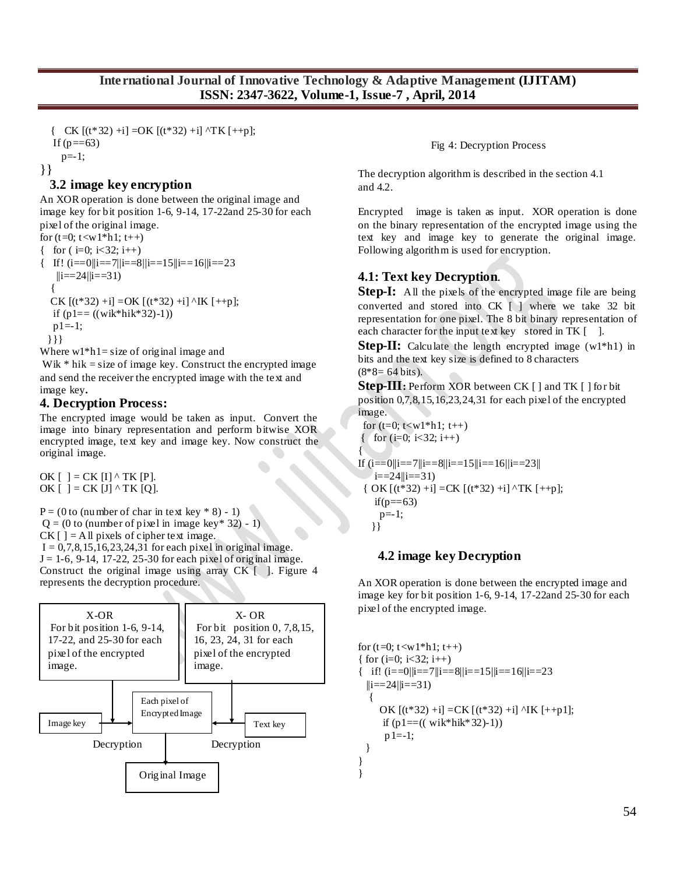$\{ CK [(t*32) +i] = 0K [(t*32) +i]  $\Lambda T K [++p];$$ If  $(p = 63)$  p=-1; }}

#### **3.2 image key encryption**

An XOR operation is done between the original image and image key for bit position 1-6, 9-14, 17-22and 25-30 for each pixel of the original image.

for  $(t=0; t < w1*h1; t++)$ { for  $(i=0; i<32; i++)$  $\{ \text{ If } (i == 0 | i == 7 | i == 8 | i == 15 | i == 16 | i == 23 \}$  $||i == 24||i == 31$  { CK  $[(t*32) +i] = OK$   $[(t*32) +i]$   $\wedge$  IK  $[++p]$ ; if  $(p1 == ((wik*hik*32)-1))$  $p1 = -1$ ; }}} Where  $w1 * h1 = size of original image and$ 

Wik  $*$  hik = size of image key. Construct the encrypted image and send the receiver the encrypted image with the text and image key**.**

### **4. Decryption Process:**

The encrypted image would be taken as input. Convert the image into binary representation and perform bitwise XOR encrypted image, text key and image key. Now construct the original image.

OK  $[$   $] = CK$   $[$  $] \wedge TK$   $[$  $P$  $].$ OK  $[$  ] = CK  $[J] \wedge TK$   $[Q]$ .

 $P = (0 to (number of char in text key * 8) - 1)$  $Q = (0$  to (number of pixel in image key\* 32) - 1)  $CK$  [ ] = All pixels of cipher text image.  $I = 0,7,8,15,16,23,24,31$  for each pixel in original image.  $J = 1-6$ , 9-14, 17-22, 25-30 for each pixel of original image. Construct the original image using array CK [ ]. Figure 4 represents the decryption procedure.



Fig 4: Decryption Process

The decryption algorithm is described in the section 4.1 and 4.2.

Encrypted image is taken as input. XOR operation is done on the binary representation of the encrypted image using the text key and image key to generate the original image. Following algorithm is used for encryption.

## **4.1: Text key Decryption**.

**Step-I:** All the pixels of the encrypted image file are being converted and stored into CK [ ] where we take 32 bit representation for one pixel. The 8 bit binary representation of each character for the input text key stored in TK [ ].

**Step-II:** Calculate the length encrypted image (w1\*h1) in bits and the text key size is defined to 8 characters  $(8*8=64 \text{ bits}).$ 

**Step-III:** Perform XOR between CK [ ] and TK [ ] for bit position 0,7,8,15,16,23,24,31 for each pixel of the encrypted image.

for  $(t=0; t < w1*h1; t++)$ { for  $(i=0; i<32; i++)$ {

If  $(i=0|i=7|i=8|i=15|i=16|i=23|$ 

$$
=24||i=31
$$
  
{ OK [( $i*32$ ) +i] = CK [()

{ OK [(t\*32) +i] =CK [(t\*32) +i] 
$$
^{\wedge}
$$
 Tk [++p];  
if(p==63)  
p=-1;

}}

## **4.2 image key Decryption**

An XOR operation is done between the encrypted image and image key for bit position 1-6, 9-14, 17-22and 25-30 for each pixel of the encrypted image.

```
for (t=0; t < w1*h1; t++){ for (i=0; i<32; i++){ if! (i == 0||i == 7||i == 8||i == 15||i == 16||i == 23||i==24||i==31) { 
    OK [(t*32) +i] = CK [(t*32) +i] ^IK [++p1];
     if (p1=((wik*hik*32)-1))p1=-1;
  }
}
}
```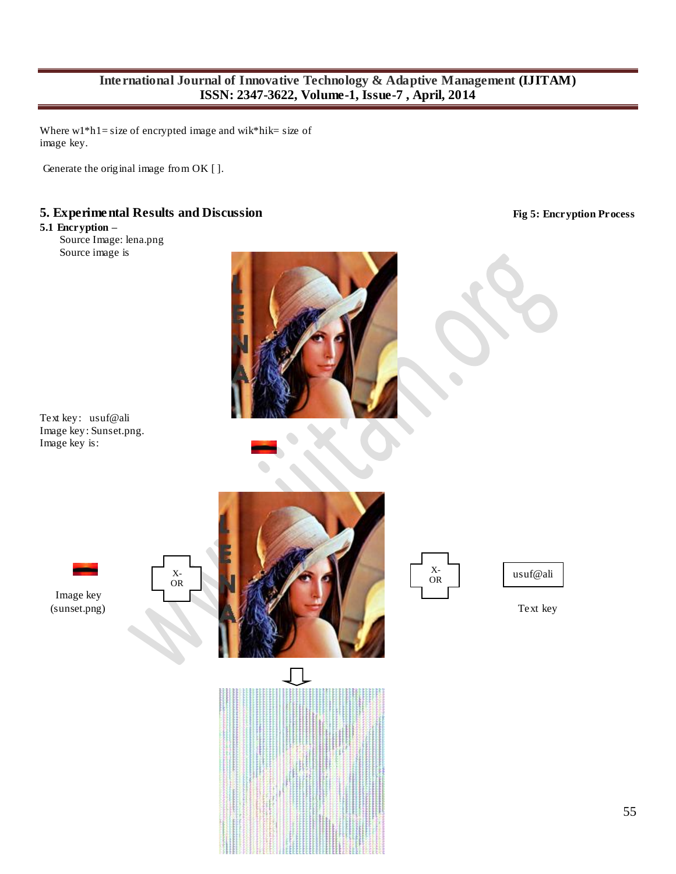## **International Journal of Innovative Technology & Adaptive Management (IJITAM) ISSN: 2347-3622, Volume-1, Issue-7 , April, 2014**

Where  $w1 * h1 = size$  of encrypted image and wik\*hik= size of image key.

X-<br>OR

Generate the original image from OK [ ].

## **5. Experimental Results and Discussion**

#### **5.1 Encryption –**

Source Image: lena.png Source image is



Text key: usuf@ali Image key: Sunset.png. Image key is:



(sunset.png)





X-OR

Text key

**Fig 5: Encryption Process**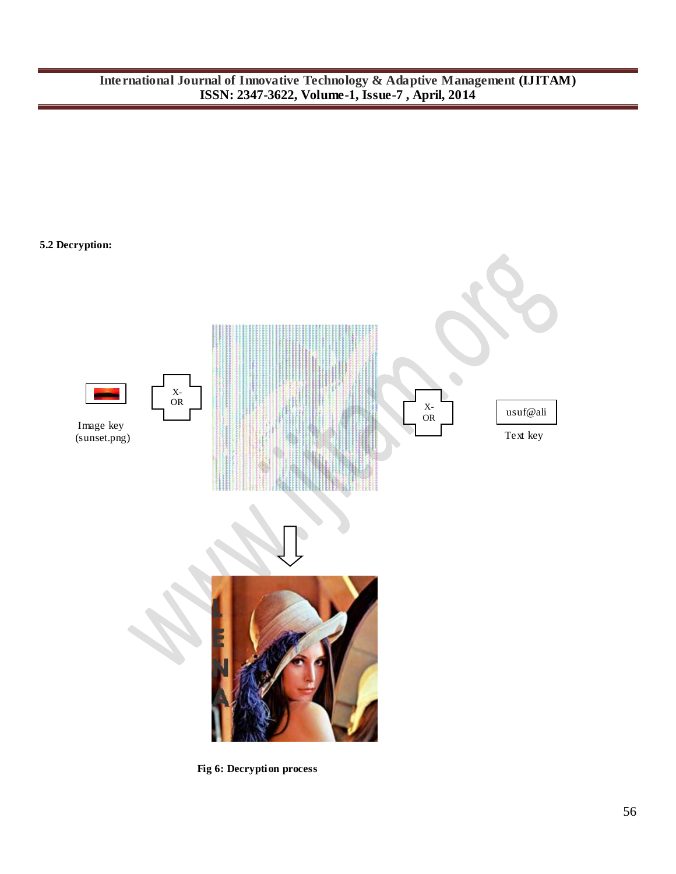

 **Fig 6: Decryption process**